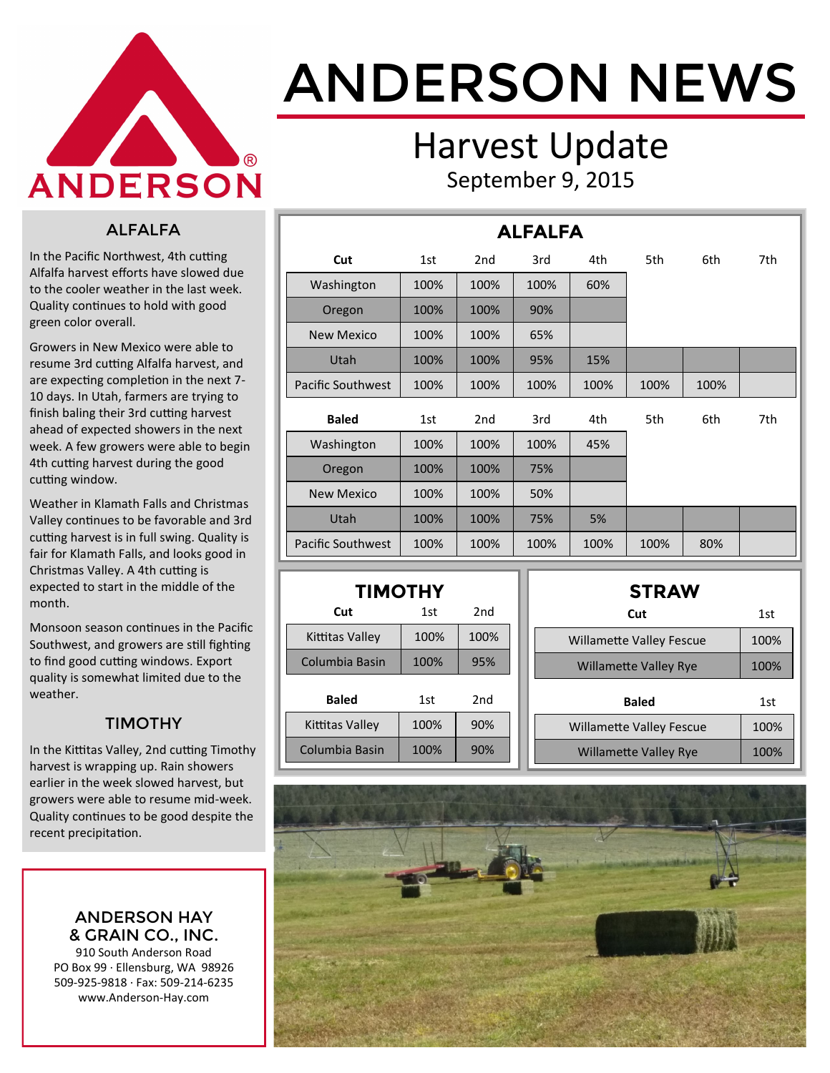

# ANDERSON NEWS

### Harvest Update September 9, 2015

#### ALFALFA

In the Pacific Northwest, 4th cutting Alfalfa harvest efforts have slowed due to the cooler weather in the last week. Quality continues to hold with good green color overall.

Growers in New Mexico were able to resume 3rd cutting Alfalfa harvest, and are expecting completion in the next 7- 10 days. In Utah, farmers are trying to finish baling their 3rd cutting harvest ahead of expected showers in the next week. A few growers were able to begin 4th cutting harvest during the good cutting window.

Weather in Klamath Falls and Christmas Valley continues to be favorable and 3rd cutting harvest is in full swing. Quality is fair for Klamath Falls, and looks good in Christmas Valley. A 4th cutting is expected to start in the middle of the month.

Monsoon season continues in the Pacific Southwest, and growers are still fighting to find good cutting windows. Export quality is somewhat limited due to the weather.

#### TIMOTHY

In the Kittitas Valley, 2nd cutting Timothy harvest is wrapping up. Rain showers earlier in the week slowed harvest, but growers were able to resume mid-week. Quality continues to be good despite the recent precipitation.

> ANDERSON HAY & GRAIN CO., INC.

910 South Anderson Road PO Box 99 · Ellensburg, WA 98926 509-925-9818 · Fax: 509-214-6235 www.Anderson-Hay.com

| <b>ALFALFA</b>           |      |                 |      |      |      |      |     |  |     |  |
|--------------------------|------|-----------------|------|------|------|------|-----|--|-----|--|
| Cut                      | 1st  | 2 <sub>nd</sub> | 3rd  | 4th  | 5th  |      | 6th |  | 7th |  |
| Washington               | 100% | 100%            | 100% | 60%  |      |      |     |  |     |  |
| Oregon                   | 100% | 100%            | 90%  |      |      |      |     |  |     |  |
| <b>New Mexico</b>        | 100% | 100%            | 65%  |      |      |      |     |  |     |  |
| Utah                     | 100% | 100%            | 95%  | 15%  |      |      |     |  |     |  |
| <b>Pacific Southwest</b> | 100% | 100%            | 100% | 100% | 100% | 100% |     |  |     |  |
| <b>Baled</b>             | 1st  | 2 <sub>nd</sub> | 3rd  | 4th  | 5th  | 6th  | 7th |  |     |  |
| Washington               | 100% | 100%            | 100% | 45%  |      |      |     |  |     |  |
| Oregon                   | 100% | 100%            | 75%  |      |      |      |     |  |     |  |
| <b>New Mexico</b>        | 100% | 100%            | 50%  |      |      |      |     |  |     |  |
| Utah                     | 100% | 100%            | 75%  | 5%   |      |      |     |  |     |  |
| <b>Pacific Southwest</b> | 100% | 100%            | 100% | 100% | 100% | 80%  |     |  |     |  |

| <b>TIMOTHY</b>    |      |      |  |  |  |  |  |  |  |  |
|-------------------|------|------|--|--|--|--|--|--|--|--|
| 2nd<br>Cut<br>1st |      |      |  |  |  |  |  |  |  |  |
| Kittitas Vallev   | 100% | 100% |  |  |  |  |  |  |  |  |
| Columbia Basin    | 100% | 95%  |  |  |  |  |  |  |  |  |
| Baled             | 1st  | 2nd  |  |  |  |  |  |  |  |  |
| Kittitas Valley   | 100% | 90%  |  |  |  |  |  |  |  |  |
| Columbia Basin    | 100% | 90%  |  |  |  |  |  |  |  |  |

| <b>STRAW</b>                    |      |
|---------------------------------|------|
| Cut                             | 1st  |
| <b>Willamette Valley Fescue</b> | 100% |
| <b>Willamette Valley Rye</b>    | 100% |
|                                 |      |
| <b>Baled</b>                    | 1st  |
| <b>Willamette Valley Fescue</b> | 100% |